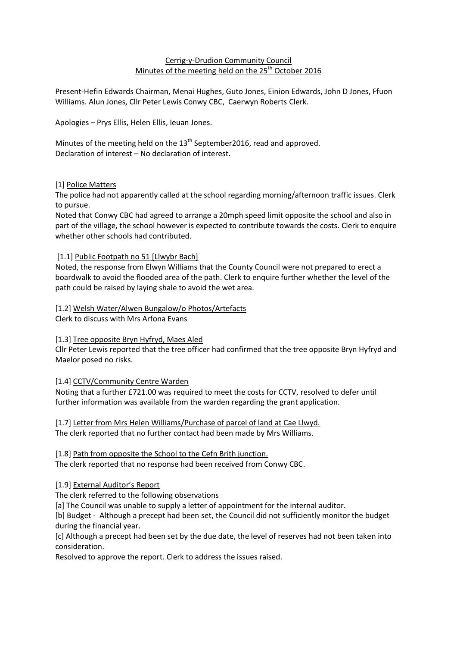#### Cerrig-y-Drudion Community Council Minutes of the meeting held on the 25<sup>th</sup> October 2016

Present-Hefin Edwards Chairman, Menai Hughes, Guto Jones, Einion Edwards, John D Jones, Ffuon Williams. Alun Jones, Cllr Peter Lewis Conwy CBC, Caerwyn Roberts Clerk.

Apologies – Prys Ellis, Helen Ellis, Ieuan Jones.

Minutes of the meeting held on the  $13<sup>th</sup>$  September2016, read and approved. Declaration of interest – No declaration of interest.

# [1] Police Matters

The police had not apparently called at the school regarding morning/afternoon traffic issues. Clerk to pursue.

Noted that Conwy CBC had agreed to arrange a 20mph speed limit opposite the school and also in part of the village, the school however is expected to contribute towards the costs. Clerk to enquire whether other schools had contributed.

# [1.1] Public Footpath no 51 [Llwybr Bach]

Noted, the response from Elwyn Williams that the County Council were not prepared to erect a boardwalk to avoid the flooded area of the path. Clerk to enquire further whether the level of the path could be raised by laying shale to avoid the wet area.

#### [1.2] Welsh Water/Alwen Bungalow/o Photos/Artefacts

Clerk to discuss with Mrs Arfona Evans

# [1.3] Tree opposite Bryn Hyfryd, Maes Aled

Cllr Peter Lewis reported that the tree officer had confirmed that the tree opposite Bryn Hyfryd and Maelor posed no risks.

#### [1.4] CCTV/Community Centre Warden

Noting that a further £721.00 was required to meet the costs for CCTV, resolved to defer until further information was available from the warden regarding the grant application.

[1.7] Letter from Mrs Helen Williams/Purchase of parcel of land at Cae Llwyd. The clerk reported that no further contact had been made by Mrs Williams.

# [1.8] Path from opposite the School to the Cefn Brith junction.

The clerk reported that no response had been received from Conwy CBC.

# [1.9] External Auditor's Report

The clerk referred to the following observations

[a] The Council was unable to supply a letter of appointment for the internal auditor.

[b] Budget - Although a precept had been set, the Council did not sufficiently monitor the budget during the financial year.

[c] Although a precept had been set by the due date, the level of reserves had not been taken into consideration.

Resolved to approve the report. Clerk to address the issues raised.